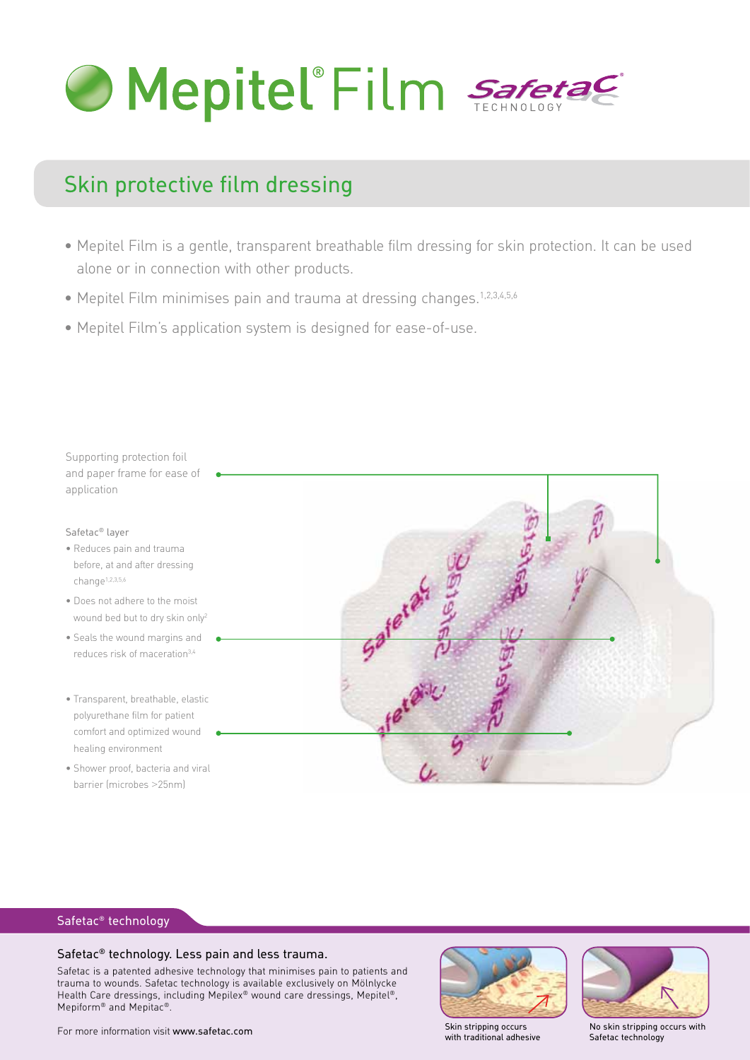

# Skin protective film dressing

- Mepitel Film is a gentle, transparent breathable film dressing for skin protection. It can be used alone or in connection with other products.
- Mepitel Film minimises pain and trauma at dressing changes.1,2,3,4,5,6
- Mepitel Film's application system is designed for ease-of-use.



#### Safetac® technology

#### Safetac® technology. Less pain and less trauma.

Safetac is a patented adhesive technology that minimises pain to patients and trauma to wounds. Safetac technology is available exclusively on Mölnlycke Health Care dressings, including Mepilex® wound care dressings, Mepitel®, Mepiform® and Mepitac®.



with traditional adhesive



No skin stripping occurs with Safetac technology